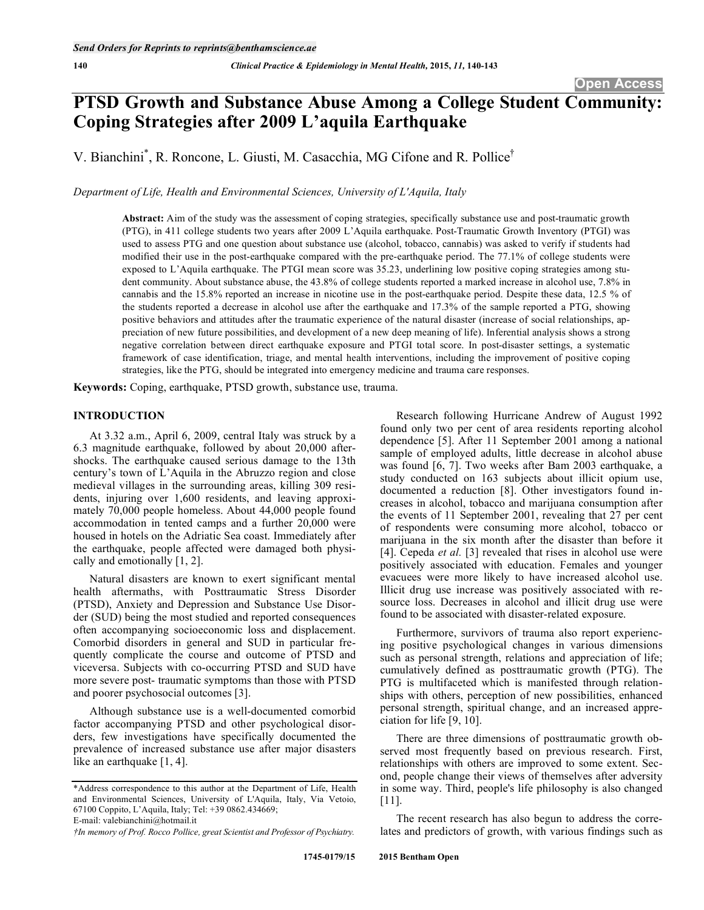# **PTSD Growth and Substance Abuse Among a College Student Community: Coping Strategies after 2009 L'aquila Earthquake**

V. Bianchini\* , R. Roncone, L. Giusti, M. Casacchia, MG Cifone and R. Pollice†

*Department of Life, Health and Environmental Sciences, University of L'Aquila, Italy* 

**Abstract:** Aim of the study was the assessment of coping strategies, specifically substance use and post-traumatic growth (PTG), in 411 college students two years after 2009 L'Aquila earthquake. Post-Traumatic Growth Inventory (PTGI) was used to assess PTG and one question about substance use (alcohol, tobacco, cannabis) was asked to verify if students had modified their use in the post-earthquake compared with the pre-earthquake period. The 77.1% of college students were exposed to L'Aquila earthquake. The PTGI mean score was 35.23, underlining low positive coping strategies among student community. About substance abuse, the 43.8% of college students reported a marked increase in alcohol use, 7.8% in cannabis and the 15.8% reported an increase in nicotine use in the post-earthquake period. Despite these data, 12.5 % of the students reported a decrease in alcohol use after the earthquake and 17.3% of the sample reported a PTG, showing positive behaviors and attitudes after the traumatic experience of the natural disaster (increase of social relationships, appreciation of new future possibilities, and development of a new deep meaning of life). Inferential analysis shows a strong negative correlation between direct earthquake exposure and PTGI total score. In post-disaster settings, a systematic framework of case identification, triage, and mental health interventions, including the improvement of positive coping strategies, like the PTG, should be integrated into emergency medicine and trauma care responses.

**Keywords:** Coping, earthquake, PTSD growth, substance use, trauma.

# **INTRODUCTION**

At 3.32 a.m., April 6, 2009, central Italy was struck by a 6.3 magnitude earthquake, followed by about 20,000 aftershocks. The earthquake caused serious damage to the 13th century's town of L'Aquila in the Abruzzo region and close medieval villages in the surrounding areas, killing 309 residents, injuring over 1,600 residents, and leaving approximately 70,000 people homeless. About 44,000 people found accommodation in tented camps and a further 20,000 were housed in hotels on the Adriatic Sea coast. Immediately after the earthquake, people affected were damaged both physically and emotionally [1, 2].

Natural disasters are known to exert significant mental health aftermaths, with Posttraumatic Stress Disorder (PTSD), Anxiety and Depression and Substance Use Disorder (SUD) being the most studied and reported consequences often accompanying socioeconomic loss and displacement. Comorbid disorders in general and SUD in particular frequently complicate the course and outcome of PTSD and viceversa. Subjects with co-occurring PTSD and SUD have more severe post- traumatic symptoms than those with PTSD and poorer psychosocial outcomes [3].

Although substance use is a well-documented comorbid factor accompanying PTSD and other psychological disorders, few investigations have specifically documented the prevalence of increased substance use after major disasters like an earthquake [1, 4].

E-mail: valebianchini@hotmail.it

Research following Hurricane Andrew of August 1992 found only two per cent of area residents reporting alcohol dependence [5]. After 11 September 2001 among a national sample of employed adults, little decrease in alcohol abuse was found [6, 7]. Two weeks after Bam 2003 earthquake, a study conducted on 163 subjects about illicit opium use, documented a reduction [8]. Other investigators found increases in alcohol, tobacco and marijuana consumption after the events of 11 September 2001, revealing that 27 per cent of respondents were consuming more alcohol, tobacco or marijuana in the six month after the disaster than before it [4]. Cepeda *et al.* [3] revealed that rises in alcohol use were positively associated with education. Females and younger evacuees were more likely to have increased alcohol use. Illicit drug use increase was positively associated with resource loss. Decreases in alcohol and illicit drug use were found to be associated with disaster-related exposure.

Furthermore, survivors of trauma also report experiencing positive psychological changes in various dimensions such as personal strength, relations and appreciation of life; cumulatively defined as posttraumatic growth (PTG). The PTG is multifaceted which is manifested through relationships with others, perception of new possibilities, enhanced personal strength, spiritual change, and an increased appreciation for life [9, 10].

There are three dimensions of posttraumatic growth observed most frequently based on previous research. First, relationships with others are improved to some extent. Second, people change their views of themselves after adversity in some way. Third, people's life philosophy is also changed [11].

The recent research has also begun to address the correlates and predictors of growth, with various findings such as

<sup>\*</sup>Address correspondence to this author at the Department of Life, Health and Environmental Sciences, University of L'Aquila, Italy, Via Vetoio, 67100 Coppito, L'Aquila, Italy; Tel: +39 0862.434669;

*<sup>†</sup>In memory of Prof. Rocco Pollice, great Scientist and Professor of Psychiatry.*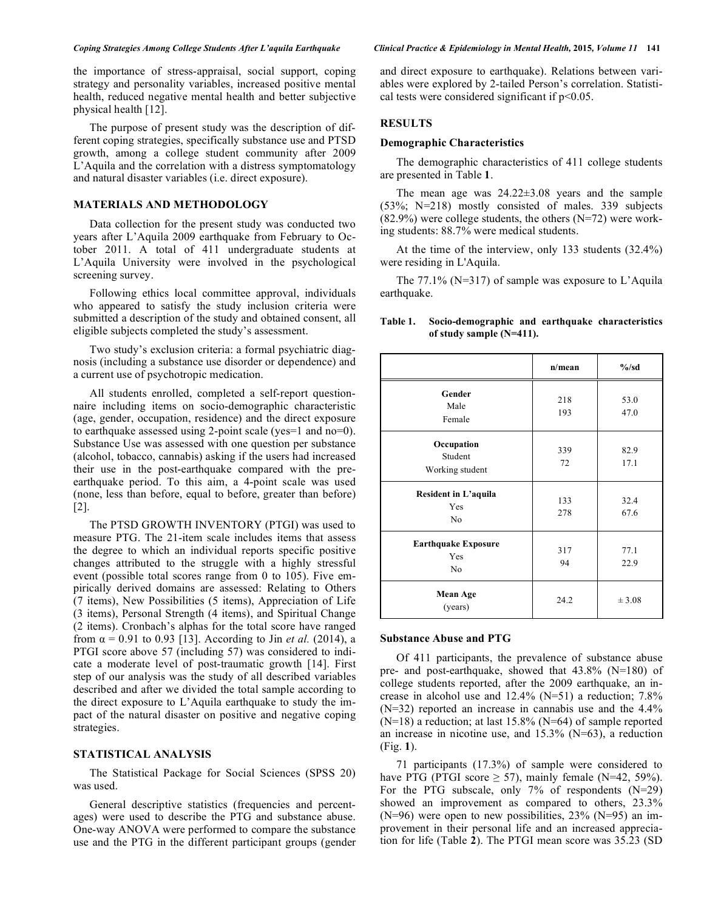### *Coping Strategies Among College Students After L'aquila Earthquake Clinical Practice & Epidemiology in Mental Health,* **2015***, Volume 11* **141**

the importance of stress-appraisal, social support, coping strategy and personality variables, increased positive mental health, reduced negative mental health and better subjective physical health [12].

The purpose of present study was the description of different coping strategies, specifically substance use and PTSD growth, among a college student community after 2009 L'Aquila and the correlation with a distress symptomatology and natural disaster variables (i.e. direct exposure).

# **MATERIALS AND METHODOLOGY**

Data collection for the present study was conducted two years after L'Aquila 2009 earthquake from February to October 2011. A total of 411 undergraduate students at L'Aquila University were involved in the psychological screening survey.

Following ethics local committee approval, individuals who appeared to satisfy the study inclusion criteria were submitted a description of the study and obtained consent, all eligible subjects completed the study's assessment.

Two study's exclusion criteria: a formal psychiatric diagnosis (including a substance use disorder or dependence) and a current use of psychotropic medication.

All students enrolled, completed a self-report questionnaire including items on socio-demographic characteristic (age, gender, occupation, residence) and the direct exposure to earthquake assessed using 2-point scale (yes=1 and no=0). Substance Use was assessed with one question per substance (alcohol, tobacco, cannabis) asking if the users had increased their use in the post-earthquake compared with the preearthquake period. To this aim, a 4-point scale was used (none, less than before, equal to before, greater than before) [2].

The PTSD GROWTH INVENTORY (PTGI) was used to measure PTG. The 21-item scale includes items that assess the degree to which an individual reports specific positive changes attributed to the struggle with a highly stressful event (possible total scores range from 0 to 105). Five empirically derived domains are assessed: Relating to Others (7 items), New Possibilities (5 items), Appreciation of Life (3 items), Personal Strength (4 items), and Spiritual Change (2 items). Cronbach's alphas for the total score have ranged from  $\alpha = 0.91$  to 0.93 [13]. According to Jin *et al.* (2014), a PTGI score above 57 (including 57) was considered to indicate a moderate level of post-traumatic growth [14]. First step of our analysis was the study of all described variables described and after we divided the total sample according to the direct exposure to L'Aquila earthquake to study the impact of the natural disaster on positive and negative coping strategies.

### **STATISTICAL ANALYSIS**

The Statistical Package for Social Sciences (SPSS 20) was used.

General descriptive statistics (frequencies and percentages) were used to describe the PTG and substance abuse. One-way ANOVA were performed to compare the substance use and the PTG in the different participant groups (gender

and direct exposure to earthquake). Relations between variables were explored by 2-tailed Person's correlation. Statistical tests were considered significant if  $p<0.05$ .

#### **RESULTS**

#### **Demographic Characteristics**

The demographic characteristics of 411 college students are presented in Table **1**.

The mean age was 24.22±3.08 years and the sample (53%; N=218) mostly consisted of males. 339 subjects  $(82.9\%)$  were college students, the others  $(N=72)$  were working students: 88.7% were medical students.

At the time of the interview, only 133 students (32.4%) were residing in L'Aquila.

The  $77.1\%$  (N=317) of sample was exposure to L'Aquila earthquake.

|                                                     | n/mean     | $\%$ /sd     |
|-----------------------------------------------------|------------|--------------|
| Gender<br>Male<br>Female                            | 218<br>193 | 53.0<br>47.0 |
| Occupation<br>Student<br>Working student            | 339<br>72  | 82.9<br>17.1 |
| Resident in L'aquila<br>Yes<br>N <sub>o</sub>       | 133<br>278 | 32.4<br>67.6 |
| <b>Earthquake Exposure</b><br>Yes<br>N <sub>o</sub> | 317<br>94  | 77.1<br>22.9 |
| <b>Mean Age</b><br>(years)                          | 24.2       | ± 3.08       |

## **Table 1. Socio-demographic and earthquake characteristics of study sample (N=411).**

#### **Substance Abuse and PTG**

Of 411 participants, the prevalence of substance abuse pre- and post-earthquake, showed that 43.8% (N=180) of college students reported, after the 2009 earthquake, an increase in alcohol use and 12.4% (N=51) a reduction; 7.8% (N=32) reported an increase in cannabis use and the 4.4%  $(N=18)$  a reduction; at last 15.8%  $(N=64)$  of sample reported an increase in nicotine use, and  $15.3\%$  (N=63), a reduction (Fig. **1**).

71 participants (17.3%) of sample were considered to have PTG (PTGI score  $\geq$  57), mainly female (N=42, 59%). For the PTG subscale, only 7% of respondents (N=29) showed an improvement as compared to others, 23.3% (N=96) were open to new possibilities, 23% (N=95) an improvement in their personal life and an increased appreciation for life (Table **2**). The PTGI mean score was 35.23 (SD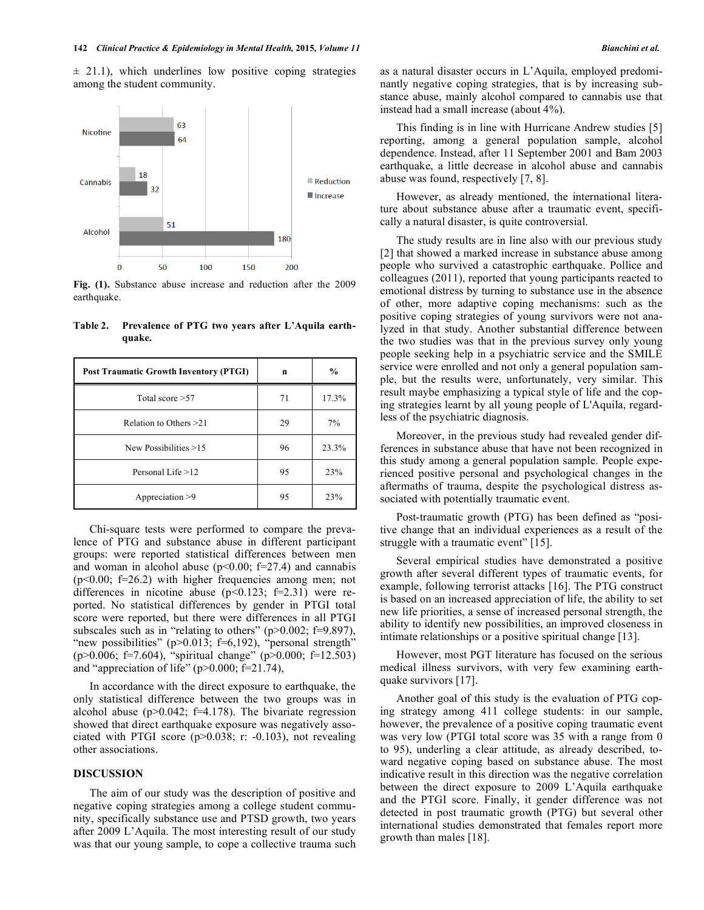$\pm$  21.1), which underlines low positive coping strategies among the student community.



**Fig. (1).** Substance abuse increase and reduction after the 2009 earthquake.

| <b>Post Traumatic Growth Inventory (PTGI)</b> | n  | $\%$  |
|-----------------------------------------------|----|-------|
| Total score $>57$                             | 71 | 17.3% |
| Relation to Others > 21                       | 29 | 7%    |
| New Possibilities $>15$                       | 96 | 23.3% |
| Personal Life $>12$                           | 95 | 23%   |
| Appreciation >9                               | 95 | 23%   |

**Table 2. Prevalence of PTG two years after L'Aquila earthquake.** 

Chi-square tests were performed to compare the prevalence of PTG and substance abuse in different participant groups: were reported statistical differences between men and woman in alcohol abuse ( $p<0.00$ ;  $f=27.4$ ) and cannabis  $(p<0.00; f=26.2)$  with higher frequencies among men; not differences in nicotine abuse  $(p<0.123; f=2.31)$  were reported. No statistical differences by gender in PTGI total score were reported, but there were differences in all PTGI subscales such as in "relating to others" ( $p$ >0.002; f=9.897), "new possibilities" (p>0.013; f=6,192), "personal strength" (p>0.006; f=7.604), "spiritual change" (p>0.000; f=12.503) and "appreciation of life" (p>0.000; f=21.74),

In accordance with the direct exposure to earthquake, the only statistical difference between the two groups was in alcohol abuse ( $p > 0.042$ ; f=4.178). The bivariate regression showed that direct earthquake exposure was negatively associated with PTGI score (p>0.038; r: -0.103), not revealing other associations.

# **DISCUSSION**

The aim of our study was the description of positive and negative coping strategies among a college student community, specifically substance use and PTSD growth, two years after 2009 L'Aquila. The most interesting result of our study was that our young sample, to cope a collective trauma such as a natural disaster occurs in L'Aquila, employed predominantly negative coping strategies, that is by increasing substance abuse, mainly alcohol compared to cannabis use that instead had a small increase (about 4%).

This finding is in line with Hurricane Andrew studies [5] reporting, among a general population sample, alcohol dependence. Instead, after 11 September 2001 and Bam 2003 earthquake, a little decrease in alcohol abuse and cannabis abuse was found, respectively [7, 8].

However, as already mentioned, the international literature about substance abuse after a traumatic event, specifically a natural disaster, is quite controversial.

The study results are in line also with our previous study [2] that showed a marked increase in substance abuse among people who survived a catastrophic earthquake. Pollice and colleagues (2011), reported that young participants reacted to emotional distress by turning to substance use in the absence of other, more adaptive coping mechanisms: such as the positive coping strategies of young survivors were not analyzed in that study. Another substantial difference between the two studies was that in the previous survey only young people seeking help in a psychiatric service and the SMILE service were enrolled and not only a general population sample, but the results were, unfortunately, very similar. This result maybe emphasizing a typical style of life and the coping strategies learnt by all young people of L'Aquila, regardless of the psychiatric diagnosis.

Moreover, in the previous study had revealed gender differences in substance abuse that have not been recognized in this study among a general population sample. People experienced positive personal and psychological changes in the aftermaths of trauma, despite the psychological distress associated with potentially traumatic event.

Post-traumatic growth (PTG) has been defined as "positive change that an individual experiences as a result of the struggle with a traumatic event" [15].

Several empirical studies have demonstrated a positive growth after several different types of traumatic events, for example, following terrorist attacks [16]. The PTG construct is based on an increased appreciation of life, the ability to set new life priorities, a sense of increased personal strength, the ability to identify new possibilities, an improved closeness in intimate relationships or a positive spiritual change [13].

However, most PGT literature has focused on the serious medical illness survivors, with very few examining earthquake survivors [17].

Another goal of this study is the evaluation of PTG coping strategy among 411 college students: in our sample, however, the prevalence of a positive coping traumatic event was very low (PTGI total score was 35 with a range from 0 to 95), underling a clear attitude, as already described, toward negative coping based on substance abuse. The most indicative result in this direction was the negative correlation between the direct exposure to 2009 L'Aquila earthquake and the PTGI score. Finally, it gender difference was not detected in post traumatic growth (PTG) but several other international studies demonstrated that females report more growth than males [18].